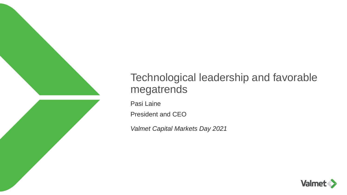

# Technological leadership and favorable megatrends

Pasi Laine

President and CEO

*Valmet Capital Markets Day 2021*

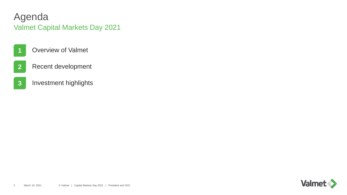# Agenda Valmet Capital Markets Day 2021

- Overview of Valmet
- Recent development
- Investment highlights

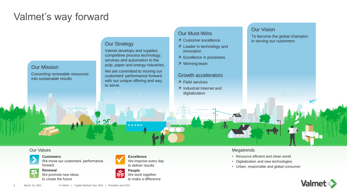# Valmet's way forward

#### Our Mission

Converting renewable resources into sustainable results

#### **Our Strategy**

Valmet develops and supplies competitive process technology, services and automation to the pulp, paper and energy industries.

We are committed to moving our customers' performance forward with our unique offering and way to serve.

### Our Must-Wins

- Customer excellence
- 7 Leader in technology and innovation
- Excellence in processes
- Winning team

#### Growth accelerators

- Field services
- Industrial Internet and digitalization

#### Our Vision

To become the global champion in serving our customers

#### Our Values



**Customers**  We move our customers' performance forward



**Renewal** We promote new ideas to create the future



We improve every day to deliver results



**People** We work together to make a difference

#### **Megatrends**

 $\blacksquare$ 

- Resource efficient and clean world
- Digitalization and new technologies
- Urban, responsible and global consumer

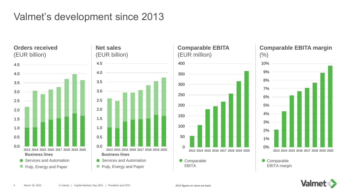# Valmet's development since 2013

**Orders received** (EUR billion)







# **Comparable EBITA margin**



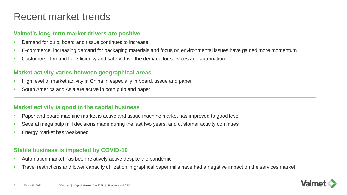# Recent market trends

### **Valmet's long-term market drivers are positive**

- Demand for pulp, board and tissue continues to increase
- E-commerce, increasing demand for packaging materials and focus on environmental issues have gained more momentum
- Customers' demand for efficiency and safety drive the demand for services and automation

### **Market activity varies between geographical areas**

- High level of market activity in China in especially in board, tissue and paper
- South America and Asia are active in both pulp and paper

### **Market activity is good in the capital business**

- Paper and board machine market is active and tissue machine market has improved to good level
- Several mega pulp mill decisions made during the last two years, and customer activity continues
- Energy market has weakened

### **Stable business is impacted by COVID-19**

- Automation market has been relatively active despite the pandemic
- Travel restrictions and lower capacity utilization in graphical paper mills have had a negative impact on the services market

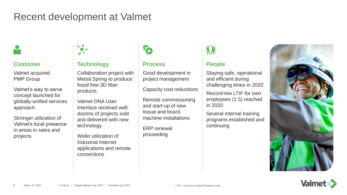# Recent development at Valmet



### **Customer**

Valmet acquired PMP Group

Valmet's way to serve concept launched for globally-unified services approach

Stronger utilization of Valmet's local presence in areas in sales and projects



# **Technology**

Collaboration project with Metsä Spring to produce fossil free 3D fiber products

Valmet DNA User Interface received well: dozens of projects sold and delivered with new technology

Wider utilization of Industrial Internet applications and remote connections



### **Process**

Good development in project management

Capacity cost reductions

Remote commissioning and start-up of new tissue and board machine installations

ERP renewal proceeding

# **People**

Staying safe, operational and efficient during challenging times in 2020

Record-low LTIF for own employees (1.5) reached in 2020

Several internal training programs established and continuing



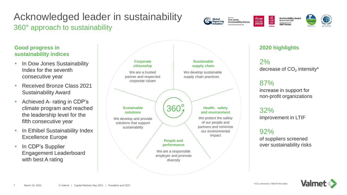# Acknowledged leader in sustainability 360° approach to sustainability



Global<br>Reporting

decrease of  $CO<sub>2</sub>$  intensity\*

Sustainability Award<br>Bronze Class 2021

S&P Global

 $\begin{array}{c} \n\text{CDP} \\
\text{SVD} \\
\text{Milbert} \\
\end{array}$ 

 $\frac{\sqrt[4]{\text{CDP}}}{\text{DISCLOSER}}$ 2020

Dow Jones<br>Sustainability Indices

increase in support for non-profit organizations

of suppliers screened over sustainability risks



 Achieved A- rating in CDP's climate program and reached the leadership level for the

**Good progress in** 

**sustainability indices**

consecutive year

• In Dow Jones Sustainability

• Received Bronze Class 2021

Index for the seventh

Sustainability Award

- fifth consecutive year • In Ethibel Sustainability Index
- In CDP's Supplier Engagement Leaderboard with best A rating

Excellence Europe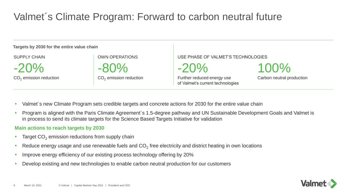# Valmet´s Climate Program: Forward to carbon neutral future

#### **Targets by 2030 for the entire value chain**

SUPPLY CHAIN

 $-20%$ 

 $CO<sub>2</sub>$  emission reduction

OWN OPERATIONS

-80%

 $CO<sub>2</sub>$  emission reduction

USE PHASE OF VALMET'S TECHNOLOGIES

 $-20%$ 

Further reduced energy use of Valmet's current technologies 100%

Carbon neutral production

- Valmet´s new Climate Program sets credible targets and concrete actions for 2030 for the entire value chain
- Program is aligned with the Paris Climate Agreement's 1.5-degree pathway and UN Sustainable Development Goals and Valmet is in process to send its climate targets for the Science Based Targets Initiative for validation

#### **Main actions to reach targets by 2030**

- Target  $CO<sub>2</sub>$  emission reductions from supply chain
- Reduce energy usage and use renewable fuels and  $\mathsf{CO}_2$  free electricity and district heating in own locations
- Improve energy efficiency of our existing process technology offering by 20%
- Develop existing and new technologies to enable carbon neutral production for our customers

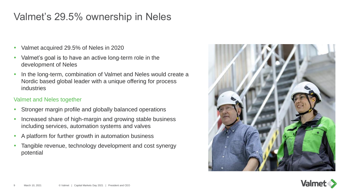# Valmet's 29.5% ownership in Neles

- Valmet acquired 29.5% of Neles in 2020
- Valmet's goal is to have an active long-term role in the development of Neles
- In the long-term, combination of Valmet and Neles would create a Nordic based global leader with a unique offering for process industries

## Valmet and Neles together

- Stronger margin profile and globally balanced operations
- Increased share of high-margin and growing stable business including services, automation systems and valves
- A platform for further growth in automation business
- Tangible revenue, technology development and cost synergy potential



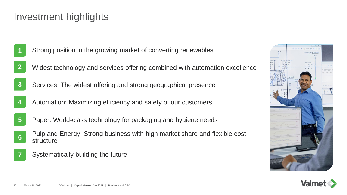# Investment highlights

- Strong position in the growing market of converting renewables
- Widest technology and services offering combined with automation excellence
- Services: The widest offering and strong geographical presence
- Automation: Maximizing efficiency and safety of our customers
- Paper: World-class technology for packaging and hygiene needs
- Pulp and Energy: Strong business with high market share and flexible cost structure
	- Systematically building the future



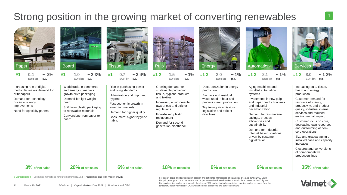# Strong position in the growing market of converting renewables



# Market positon | Estimated market size for current offering (EUR) | Anticipated long-term market growth

For paper, board and tissue market position and estimated market size calculated as average during 2018-2020. For pulp, energy and automation the market position and estimated market size calculated based on 2020 figures. For services, the market position calculated from 2020 and estimated market size once the market recovers from the temporary negative impact of COVID on customer operations and services demand

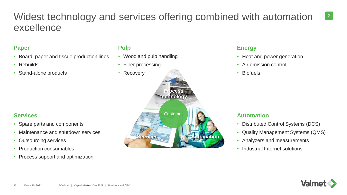# Widest technology and services offering combined with automation excellence

## **Paper**

- Board, paper and tissue production lines
- Rebuilds
- Stand-alone products

#### **Pulp**

- Wood and pulp handling
- Fiber processing
- Recovery

#### **Energy**

- Heat and power generation
- Air emission control
- Biofuels

#### **Services**

- Spare parts and components
- Maintenance and shutdown services
- Outsourcing services
- Production consumables
- Process support and optimization



### **Automation**

- Distributed Control Systems (DCS)
- Quality Management Systems (QMS)
- Analyzers and measurements
- Industrial Internet solutions



2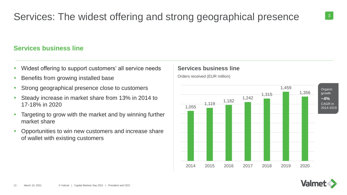# Services: The widest offering and strong geographical presence

### **Services business line**

- Widest offering to support customers' all service needs
- Benefits from growing installed base
- Strong geographical presence close to customers
- Steady increase in market share from 13% in 2014 to 17-18% in 2020
- Targeting to grow with the market and by winning further market share
- Opportunities to win new customers and increase share of wallet with existing customers

### **Services business line**

Orders received (EUR million)



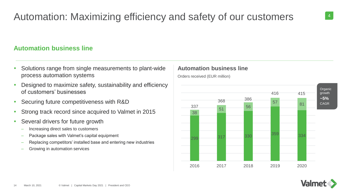# **Automation business line**

- Solutions range from single measurements to plant-wide process automation systems
- Designed to maximize safety, sustainability and efficiency of customers' businesses
- Securing future competitiveness with R&D
- Strong track record since acquired to Valmet in 2015
- Several drivers for future growth
	- Increasing direct sales to customers
	- Package sales with Valmet's capital equipment
	- Replacing competitors' installed base and entering new industries
	- Growing in automation services

### **Automation business line**

Orders received (EUR million)



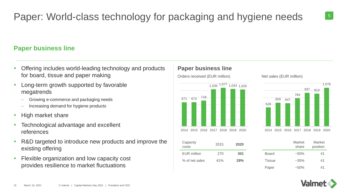# Paper: World-class technology for packaging and hygiene needs  $\frac{5}{5}$

# **Paper business line**

- Offering includes world-leading technology and products for board, tissue and paper making
- Long-term growth supported by favorable megatrends
	- Growing e-commerce and packaging needs
	- Increasing demand for hygiene products
- High market share
- Technological advantage and excellent references
- R&D targeted to introduce new products and improve the existing offering
- Flexible organization and low capacity cost provides resilience to market fluctuations

### **Paper business line**

Orders received (EUR million) Net sales (EUR million)





| Capacity<br>costs | 2015 | 2020       |              | Market<br>share | Market<br>position |
|-------------------|------|------------|--------------|-----------------|--------------------|
| EUR million       | 270  | 301        | <b>Board</b> | $~1.50\%$       | #1                 |
| % of net sales    | 41%  | <b>28%</b> | Tissue       | $~1.35\%$       | #1                 |
|                   |      |            | <b>D.L.</b>  | $F \cap Y$      | 11A                |

|               | Market<br>share | Market<br>position |  |
|---------------|-----------------|--------------------|--|
| <b>Board</b>  | $~1.50\%$       | #1                 |  |
| <b>Tissue</b> | $~1.35\%$       | #1                 |  |
| Paper         | $~1.50\%$       | #1                 |  |

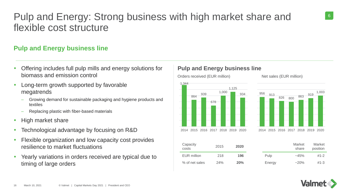# Pulp and Energy: Strong business with high market share and flexible cost structure

# **Pulp and Energy business line**

- Offering includes full pulp mills and energy solutions for biomass and emission control
- Long-term growth supported by favorable megatrends
	- Growing demand for sustainable packaging and hygiene products and textiles
	- Replacing plastic with fiber-based materials
- High market share
- Technological advantage by focusing on R&D
- Flexible organization and low capacity cost provides resilience to market fluctuations
- Yearly variations in orders received are typical due to timing of large orders

### **Pulp and Energy business line**

1,344 864 939 678 1,000 1,125 934

Orders received (EUR million) Net sales (EUR million)



| Capacity<br>costs | 2015 | 2020 |        | Market<br>share | Market<br>position |
|-------------------|------|------|--------|-----------------|--------------------|
| EUR million       | 218  | 196  | Pulp   | $-45%$          | $#1 - 2$           |
| % of net sales    | 24%  | 20%  | Energy | $-20%$          | $#1 - 3$           |

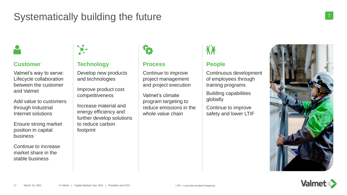# Systematically building the future



### **Customer**

Valmet's way to serve: Lifecycle collaboration between the customer and Valmet

Add value to customers through Industrial Internet solutions

Ensure strong market position in capital business

Continue to increase market share in the stable business

### **Technology**

Develop new products and technologies

Improve product cost competitiveness

Increase material and energy efficiency and further develop solutions to reduce carbon footprint



#### **Process**

Continue to improve project management and project execution

Valmet's climate program targeting to reduce emissions in the whole value chain

### **People**

Continuous development of employees through training programs

Building capabilities globally

Continue to improve safety and lower LTIF





7